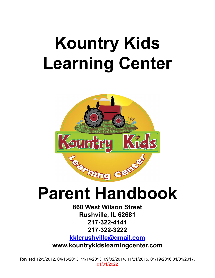# **Kountry Kids Learning Center**



**860 West Wilson Street Rushville, IL 62681 217-322-4141 217-322-3222 [kklcrushville@gmail.com](mailto:kklcrushville@gmail.com)**

**www.kountrykidslearningcenter.com**

Revised 12/5/2012, 04/15/2013, 11/14/2013, 09/02/2014, 11/21/2015. 01/19/2016,01/01/2017. 01/01/2022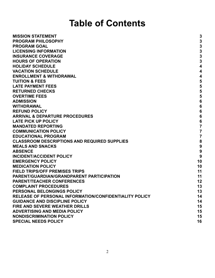## **Table of Contents**

| <b>MISSION STATEMENT</b>                               | 3                |
|--------------------------------------------------------|------------------|
| <b>PROGRAM PHILOSOPHY</b>                              | 3                |
| <b>PROGRAM GOAL</b>                                    | $\mathbf{3}$     |
| <b>LICENSING INFORMATION</b>                           | 3                |
| <b>INSURANCE COVERAGE</b>                              | $\mathbf{3}$     |
| <b>HOURS OF OPERATION</b>                              | 3                |
| <b>HOLIDAY SCHEDULE</b>                                | $\boldsymbol{4}$ |
| <b>VACATION SCHEDULE</b>                               | 4                |
| <b>ENROLLMENT &amp; WITHDRAWAL</b>                     | 4                |
| <b>TUITION &amp; FEES</b>                              | 5                |
| <b>LATE PAYMENT FEES</b>                               | 5                |
| <b>RETURNED CHECKS</b>                                 | 5                |
| <b>OVERTIME FEES</b>                                   | 5                |
| <b>ADMISSION</b>                                       | $6\phantom{1}6$  |
| <b>WITHDRAWAL</b>                                      | $6\phantom{1}6$  |
| <b>REFUND POLICY</b>                                   | $6\phantom{1}6$  |
| <b>ARRIVAL &amp; DEPARTURE PROCEDURES</b>              | $6\phantom{1}6$  |
| <b>LATE PICK UP POLICY</b>                             | $6\phantom{1}6$  |
| <b>MANDATED REPORTING</b>                              | $\overline{7}$   |
| <b>COMMUNICATION POLICY</b>                            | 7                |
| <b>EDUCATIONAL PROGRAM</b>                             | $\overline{7}$   |
| <b>CLASSROOM DESCRIPTIONS AND REQUIRED SUPPLIES</b>    | 8                |
| <b>MEALS AND SNACKS</b>                                | $\boldsymbol{9}$ |
| <b>ABSENCE</b>                                         | 9                |
| <b>INCIDENT/ACCIDENT POLICY</b>                        | 9                |
| <b>EMERGENCY POLICY</b>                                | 10               |
| <b>MEDICATION POLICY</b>                               | 10               |
| <b>FIELD TRIPS/OFF PREMISES TRIPS</b>                  | 11               |
| <b>PARENT/GUARDIAN/GRANDPARENT PARTICIPATION</b>       | 11               |
| <b>PARENT/TEACHER CONFERENCES</b>                      | 12               |
| <b>COMPLAINT PROCEDURES</b>                            | 13               |
| PERSONAL BELONGINGS POLICY                             | 13               |
| RELEASE OF PERSONAL INFORMATION/CONFIDENTIALITY POLICY | 14               |
| <b>GUIDANCE AND DISCIPLINE POLICY</b>                  | 14               |
| <b>FIRE AND SEVERE WEATHER DRILLS</b>                  | 15               |
| <b>ADVERTISING AND MEDIA POLICY</b>                    | 15               |
| <b>NONDISCRIMINATION POLICY</b>                        | 15               |
| <b>SPECIAL NEEDS POLICY</b>                            | 16               |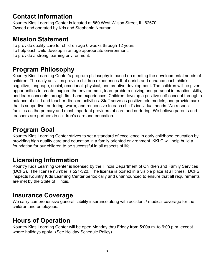### **Contact Information**

Kountry Kids Learning Center is located at 860 West Wilson Street, IL 62670. Owned and operated by Kris and Stephanie Neuman.

### **Mission Statement**

To provide quality care for children age 6 weeks through 12 years. To help each child develop in an age appropriate environment. To provide a strong learning environment.

### **Program Philosophy**

Kountry Kids Learning Center's program philosophy is based on meeting the developmental needs of children. The daily activities provide children experiences that enrich and enhance each child's cognitive, language, social, emotional, physical, and creative development. The children will be given opportunities to create, explore the environment, learn problem-solving and personal interaction skills, and learn concepts through first-hand experiences. Children develop a positive self-concept through a balance of child and teacher directed activities. Staff serve as positive role models, and provide care that is supportive, nurturing, warm, and responsive to each child's individual needs. We respect families as the primary and most important providers of care and nurturing. We believe parents and teachers are partners in children's care and education.

### <span id="page-2-0"></span>**Program Goal**

Kountry Kids Learning Center strives to set a standard of excellence in early childhood education by providing high quality care and education in a family oriented environment. KKLC will help build a foundation for our children to be successful in all aspects of life.

### <span id="page-2-1"></span>**Licensing Information**

Kountry Kids Learning Center is licensed by the Illinois Department of Children and Family Services (DCFS). The license number is 521-320. The license is posted in a visible place at all times. DCFS inspects Kountry Kids Learning Center periodically and unannounced to ensure that all requirements are met by the State of Illinois.

### <span id="page-2-2"></span>**Insurance Coverage**

We carry comprehensive general liability insurance along with accident / medical coverage for the children and employees.

### <span id="page-2-3"></span>**Hours of Operation**

Kountry Kids Learning Center will be open Monday thru Friday from 5:00a.m. to 6:00 p.m. except where holidays apply. (See Holiday Schedule Policy)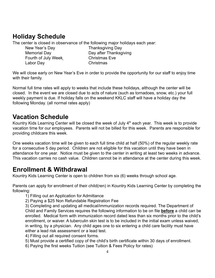### <span id="page-3-0"></span>**Holiday Schedule**

The center is closed in observance of the following major holidays each year:

New Year's Day **Thanksgiving Day** Fourth of July Week Christmas Eve Labor Day Christmas

Memorial Day **Day after Thanksgiving** 

We will close early on New Year's Eve in order to provide the opportunity for our staff to enjoy time with their family.

Normal full time rates will apply to weeks that include these holidays, although the center will be closed. In the event we are closed due to acts of nature (such as tornadoes, snow, etc.) your full weekly payment is due. If holiday falls on the weekend KKLC staff will have a holiday day the following Monday. (all normal rates apply)

### **Vacation Schedule**

Kountry Kids Learning Center will be closed the week of July  $4<sup>th</sup>$  each year. This week is to provide vacation time for our employees. Parents will not be billed for this week. Parents are responsible for providing childcare this week.

One weeks vacation time will be given to each full time child at half (50%) of the regular weekly rate for a consecutive 5 day period. Children are not eligible for this vacation until they have been in attendance for one year. Notice must be given to the center in writing at least two weeks in advance. This vacation carries no cash value. Children cannot be in attendance at the center during this week.

### **Enrollment & Withdrawal**

Kountry Kids Learning Center is open to children from six (6) weeks through school age.

Parents can apply for enrollment of their child(ren) in Kountry Kids Learning Center by completing the following:

1) Filling out an Application for Admittance

2) Paying a \$25 Non Refundable Registration Fee

3) Completing and updating all medical/immunization records required. The Department of Child and Family Services requires the following information to be on file **before** a child can be enrolled. Medical form with immunization record dated less than six months prior to the child's enrollment, or waiver. A tuberculin skin test is to be included in the initial exam unless waived, in writing, by a physician. Any child ages one to six entering a child care facility must have either a lead risk assessment or a lead test.

- 4) Filling out all required consent forms.
- 5) Must provide a certified copy of the child's birth certificate within 30 days of enrollment.
- 6) Paying the first weeks Tuition (see Tuition & Fees Policy for rates)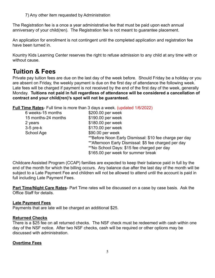7) Any other item requested by Administration

The Registration fee is a once a year administrative fee that must be paid upon each annual anniversary of your child(ren). The Registration fee is not meant to guarantee placement.

An application for enrollment is not contingent until the completed application and registration fee have been turned in.

Kountry Kids Learning Center reserves the right to refuse admission to any child at any time with or without cause.

### <span id="page-4-0"></span>**Tuition & Fees**

Private pay tuition fees are due on the last day of the week before. Should Friday be a holiday or you are absent on Friday, the weekly payment is due on the first day of attendance the following week. Late fees will be charged if payment is not received by the end of the first day of the week, generally Monday. **Tuitions not paid in full regardless of attendance will be considered a cancellation of contract and your child(ren)'s spot will not be guaranteed.**

**Full Time Rates**- Full time is more than 3 days a week. (updated 1/6/2022)

| 6 weeks-15 months   | \$200.00 per week                                      |
|---------------------|--------------------------------------------------------|
| 15 months-24 months | \$190.00 per week                                      |
| 2 years             | \$180.00 per week                                      |
| $3-5$ pre- $k$      | \$170.00 per week                                      |
| School Age          | \$90.00 per week                                       |
|                     | **Before Noon Early Dismissal: \$10 fee charge per day |
|                     | ** Afternoon Early Dismissal: \$5 fee charged per day  |
|                     | **No School Days: \$15 fee charged per day             |
|                     | \$165.00 per week for summer break                     |
|                     |                                                        |

Childcare Assisted Program (CCAP) families are expected to keep their balance paid in full by the end of the month for which the billing occurs. Any balance due after the last day of the month will be subject to a Late Payment Fee and children will not be allowed to attend until the account is paid in full including Late Payment Fees.

**Part Time/Night Care Rates**- Part Time rates will be discussed on a case by case basis. Ask the Office Staff for details.

#### **Late Payment Fees**

<span id="page-4-1"></span>Payments that are late will be charged an additional \$25.

#### **Returned Checks**

There is a \$25 fee on all returned checks. The NSF check must be redeemed with cash within one day of the NSF notice. After two NSF checks, cash will be required or other options may be discussed with administration.

#### <span id="page-4-2"></span>**Overtime Fees**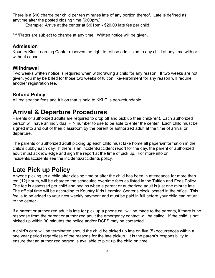There is a \$10 charge per child per ten minutes late of any portion thereof. Late is defined as anytime after the posted closing time (6:00pm.)

Example: Arrive at the center at 6:01pm - \$20.00 late fee per child

\*\*\*\*Rates are subject to change at any time. Written notice will be given.

#### **Admission**

Kountry Kids Learning Center reserves the right to refuse admission to any child at any time with or without cause.

#### **Withdrawal**

Two weeks written notice is required when withdrawing a child for any reason. If two weeks are not given, you may be billed for those two weeks of tuition. Re-enrollment for any reason will require another registration fee.

#### **Refund Policy**

<span id="page-5-0"></span>All registration fees and tuition that is paid to KKLC is non-refundable.

### **Arrival & Departure Procedures**

Parents or authorized adults are required to drop off and pick up their child(ren). Each authorized person will have an individual PIN number to use to be able to enter the center. Each child must be signed into and out of their classroom by the parent or authorized adult at the time of arrival or departure.

The parents or authorized adult picking up each child must take home all papers/information in the child's cubby each day. If there is an incident/accident report for the day, the parent or authorized adult must acknowledge and sign the report at the time of pick up. For more info on incidents/accidents see the incidents/accidents policy.

### <span id="page-5-1"></span>**Late Pick up Policy**

Anyone picking up a child after closing time or after the child has been in attendance for more than ten (12) hours, will be charged the scheduled overtime fees as listed in the Tuition and Fees Policy. The fee is assessed per child and begins when a parent or authorized adult is just one minute late. The official time will be according to Kountry Kids Learning Center's clock located in the office. This fee is to be added to your next weekly payment and must be paid in full before your child can return to the center.

If a parent or authorized adult is late for pick up a phone call will be made to the parents, if there is no response from the parent or authorized adult the emergency contact will be called. If the child is not picked up within 30 minutes the police and/or DCFS may be contacted.

<span id="page-5-2"></span>A child's care will be terminated should the child be picked up late on five (5) occurrences within a one year period regardless of the reasons for the late pickup. It is the parent's responsibility to ensure that an authorized person is available to pick up the child on time.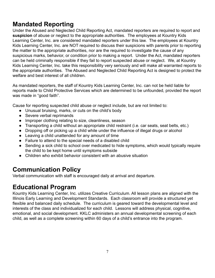### **Mandated Reporting**

Under the Abused and Neglected Child Reporting Act, mandated reporters are required to report and **suspicion** of abuse or neglect to the appropriate authorities. The employees at Kountry Kids Learning Center, Inc. are considered mandated reporters under this law. The employees at Kountry Kids Learning Center, Inc. are NOT required to discuss their suspicions with parents prior to reporting the matter to the appropriate authorities, nor are the required to investigate the cause of any suspicious marks, behavior, or condition prior to making a report. Under the Act, mandated reporters can be held criminally responsible if they fail to report suspected abuse or neglect. We, at Kountry Kids Learning Center, Inc. take this responsibility very seriously and will make all warranted reports to the appropriate authorities. The Abused and Neglected Child Reporting Act is designed to protect the welfare and best interest of all children.

As mandated reporters, the staff of Kountry Kids Learning Center, Inc. can not be held liable for reports made to Child Protective Services which are determined to be unfounded, provided the report was made in "good faith".

Cause for reporting suspected child abuse or neglect include, but are not limited to:

- Unusual bruising, marks, or cuts on the child's body
- Severe verbal reprimands
- Improper clothing relating to size, cleanliness, season
- Transporting a child without an appropriate child restraint (i.e. car seats, seat belts, etc.)
- Dropping off or picking up a child while under the influence of illegal drugs or alcohol
- Leaving a child unattended for any amount of time
- Failure to attend to the special needs of a disabled child
- Sending a sick child to school over medicated to hide symptoms, which would typically require the child to be kept home until symptoms subside
- Children who exhibit behavior consistent with an abusive situation

### <span id="page-6-0"></span>**Communication Policy**

<span id="page-6-1"></span>Verbal communication with staff is encouraged daily at arrival and departure.

### **Educational Program**

<span id="page-6-2"></span>Kountry Kids Learning Center, Inc. utilizes Creative Curriculum. All lesson plans are aligned with the Illinois Early Learning and Development Standards. Each classroom will provide a structured yet flexible and balanced daily schedule. The curriculum is geared toward the developmental level and interests of the class and individualized for each child. Lessons will address physical. cognitive. emotional, and social development. KKLC administers an annual developmental screening of each child, as well as a complete screening within 60 days of a child's entrance into the program.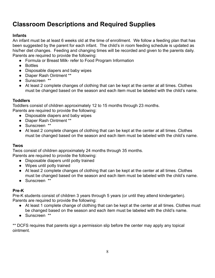### **Classroom Descriptions and Required Supplies**

#### **Infants**

An infant must be at least 6 weeks old at the time of enrollment. We follow a feeding plan that has been suggested by the parent for each infant. The child's in room feeding schedule is updated as his/her diet changes. Feeding and changing times will be recorded and given to the parents daily. Parents are required to provide the following:

- Formula or Breast Milk- refer to Food Program Information
- Bottles
- Disposable diapers and baby wipes
- Diaper Rash Ointment \*\*
- Sunscreen \*\*
- At least 2 complete changes of clothing that can be kept at the center at all times. Clothes must be changed based on the season and each item must be labeled with the child's name.

#### **Toddlers**

Toddlers consist of children approximately 12 to 15 months through 23 months.

Parents are required to provide the following:

- Disposable diapers and baby wipes
- Diaper Rash Ointment \*\*
- Sunscreen \*\*
- At least 2 complete changes of clothing that can be kept at the center at all times. Clothes must be changed based on the season and each item must be labeled with the child's name.

#### **Twos**

Twos consist of children approximately 24 months through 35 months.

- Parents are required to provide the following:
	- Disposable diapers until potty trained
	- Wipes until potty trained
	- At least 2 complete changes of clothing that can be kept at the center at all times. Clothes must be changed based on the season and each item must be labeled with the child's name.
	- Sunscreen \*\*

#### **Pre-K**

Pre-K students consist of children 3 years through 5 years (or until they attend kindergarten). Parents are required to provide the following:

- At least 1 complete change of clothing that can be kept at the center at all times. Clothes must be changed based on the season and each item must be labeled with the child's name.
- Sunscreen \*\*

\*\* DCFS requires that parents sign a permission slip before the center may apply any topical ointment.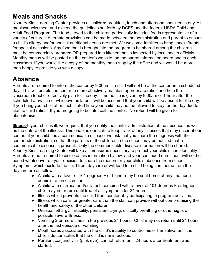### **Meals and Snacks**

Kountry Kids Learning Center provides all children breakfast, lunch and afternoon snack each day. All meals/snacks meet and exceed the guidelines set forth by DCFS and the federal USDA Child and Adult Food Program. The food served to the children periodically includes foods representative of a variety of cultures. Alternate provisions can be made between the administration and parent to ensure a child's allergy and/or special nutritional needs are met. We welcome families to bring snacks/treats for special occasions. Any food that is brought into the program to be shared among the children must be commercially prepared OR prepared in a kitchen that is inspected by local health officials. Monthly menus will be posted on the center's website, on the parent information board and in each classroom. If you would like a copy of the monthly menu stop by the office and we would be more than happy to provide you with a copy.

### <span id="page-8-0"></span>**Absence**

Parents are required to inform the center by 9:00am if a child will not be at the center on a scheduled day. This will enable the center to more effectively maintain appropriate ratios and help the classroom teacher effectively plan for the day. If no notice is given by 9:00am or 1 hour after the scheduled arrival time, whichever is later, it will be assumed that your child will be absent for the day. If you bring your child after such stated time your child may not be allowed to stay for the day due to staff to child ratios. If you are going to be late, call the center. No refund will be given for absenteeism.

**Illness-**If your child is ill, we request that you notify the center administration of the absence, as well as the nature of the illness. This enables our staff to keep track of any illnesses that may occur at our center. If your child has a communicable disease, we ask that you share the diagnosis with the center administration, so that the parents of the children in the school may be notified that a communicable disease is present. Only the communicable disease information will be shared. Kountry Kids Learning Center will take all measures necessary to protect your child's confidentiality. Parents are not required to disclose this information by law, and your continued enrollment will not be based whatsoever on your decision to share the reason for your child's absence from school. Symptoms which exclude the child from daycare or will lead to a child being sent home from the daycare are as follows:

- A child with a fever of 101 degrees F or higher may be sent home at anytime upon administration discretion
- A child with diarrhea and/or a rash combined with a fever of 101 degrees F or higher child may not return until free of all symptoms for 24 hours.
- Illness which prevents the child from comfortably participating in program activities.
- Illness which calls for greater care than the staff can provide without compromising the health and safety of the other children.
- Unusual lethargy, irritability, persistent crying, difficulty breathing or other signs of possible severe illness.
- Vomiting 2 or more times in the previous 24 hours. Child may not return until 24 hours after the last episode of vomiting.
- Mouth sores associated with the child's inability to control his or her saliva, until the child's doctor states that the child is noninfectious.
- Purulent conjunctivitis (pink eye), cannot return until 24 hours after treatment was started.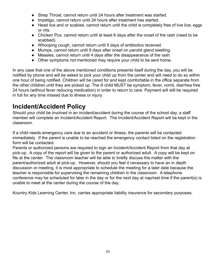- Strep Throat, cannot return until 24 hours after treatment was started.
- Impetigo, cannot return until 24 hours after treatment has started.
- Head lice and or scabies, cannot return until the child is completely free of live lice, eggs or nits.
- Chicken Pox, cannot return until at least 6 days after the onset of the rash (need to be scabbed).
- Whooping cough, cannot return until 5 days of antibiotics received.
- Mumps, cannot return until 9 days after onset on parotid gland swelling.
- Measles, cannot return until 4 days after the disappearance of the rash.
- Other symptoms not mentioned may require your child to be sent home.

In any case that one of the above mentioned conditions presents itself during the day, you will be notified by phone and will be asked to pick your child up from the center and will need to do so within one hour of being notified. Children will be cared for and kept comfortable in the office separate from the other children until they are picked up. The ill child MUST be symptom, fever, vomit, diarrhea free 24 hours (without fever reducing medication) in order to return to care. Payment will still be required in full for any time missed due to illness or injury.

### <span id="page-9-0"></span>**Incident/Accident Policy**

Should your child be involved in an incident/accident during the course of the school day, a staff member will complete an Incident/Accident Report. The Incident/Accident Report will be kept in the classroom.

If a child needs emergency care due to an accident or illness, the parents will be contacted immediately. If the parent is unable to be reached the emergency contact listed on the registration form will be contacted.

Parents or authorized persons are required to sign an Incident/Accident Report from that day at pick-up. A copy of the report will be given to the parent or authorized adult. A copy will be kept on file at the center. The classroom teacher will be able to briefly discuss the matter with the parent/authorized adult at pick-up. However, should you feel it necessary to have an in depth discussion or meeting, it is most appropriate to schedule the meeting for a later date because the teacher is responsible for supervising the remaining children in the classroom. A telephone conference may be scheduled for later in the day or for the next day at nap/rest time if the parent(s) is unable to meet at the center during the course of the day.

<span id="page-9-1"></span>Kountry Kids Learning Center, Inc. carries appropriate liability insurance for secondary purposes.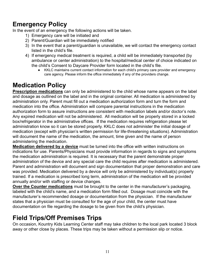### **Emergency Policy**

In the event of an emergency the following actions will be taken.

- 1) Emergency care will be initiated and
- 2) Parent/Guardian will be immediately notified
- 3) In the event that a parent/guardian is unavailable, we will contact the emergency contact listed in the child's file.
- 4) If emergency medical treatment is required, a child will be immediately transported (by ambulance or center administration) to the hospital/medical center of choice indicated on the child's Consent to Daycare Provider form located in the child's file.
	- KKLC maintains current contact information for each child's primary care provider and emergency care agency. Please inform the office immediately if any of the providers change.

### **Medication Policy**

**Prescription medications** can only be administered to the child whose name appears on the label and dosage as outlined on the label and in the original container. All medication is administered by administration only. Parent must fill out a medication authorization form and turn the form and medication into the office. Administration will compare parental instructions in the medication authorization form to assure instructions are consistent with medication labels and/or doctor's note. Any expired medication will not be administered. All medication will be properly stored in a locked box/refrigerator in the administrative offices. If the medication requires refrigeration please let administration know so it can be stored properly. KKLC does not administer the initial dosage of medication (except with physician's written permission for life-threatening situations). Administration will document the name of the medication, the amount, time given and the name of person administering the medication.

**Medication delivered by a device** must be turned into the office with written instructions on indications for use. Parents/Physicians must provide information in regards to signs and symptoms the medication administration is required. It is necessary that the parent demonstrate proper administration of the device and any special care the child requires after medication is administered. Parent and administration will document and sign documentation that proper demonstration and care was provided. Medication delivered by a device will only be administered by individual(s) properly trained. If a medication is prescribed long term, administration of the medication will be provided annually and/or with staffing or device changes.

**Over the Counter medications** must be brought to the center in the manufacturer's packaging, labeled with the child's name, and a medication form filled out. Dosage must coincide with the manufacturer's recommended dosage or documentation from the physician. If the manufacturer states that a physician must be consulted for the age of your child, the center must have documentation on file regarding the dosage to be given from the child's physician.

### **Field Trips/Off Premises Trips**

On occasion, Kountry Kids Learning Center staff may take children to the local park located 3 block away or other close by places. These trips may be taken without a permission slip or notice.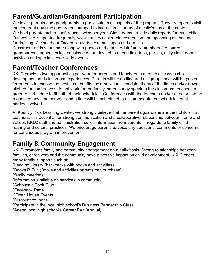### **Parent/Guardian/Grandparent Participation**

We invite parents and grandparents to participate in all aspects of the program. They are open to visit the center at any time and are encouraged to interact in all areas of a child's day at the center. We hold parent/teacher conferences twice per year. Classrooms provide daily reports for each child. Our website is updated frequently, www.kountrykidslearningcenter.com, on upcoming events and fundraising. We send out Facebook alerts, text messages and e-mails.

Classroom art is sent home along with photos and crafts. Adult family members (i.e. parents, grandparents, aunts, uncles, cousins etc.) are invited to attend field trips, parties, daily classroom activities and special center-wide events.

### **Parent/Teacher Conferences**

KKLC provides two opportunities per year for parents and teachers to meet to discuss a child's development and classroom experiences. Parents will be notified and a sign-up sheet will be posted for parents to choose the best time that fits their individual schedule. If any of the times and/or days allotted for conferences do not work for the family, parents may speak to the classroom teachers in order to find a date to fit both of their schedules. Conferences with the teachers and/or director can be requested any time per year and a time will be scheduled to accommodate the schedules of all parties involved.

At Kountry Kids Learning Center, we strongly believe that the parents/guardians are their child's first teachers. It is essential for strong communication and a collaborative relationship between home and school. KKLC staff and administration solicit information from parents in regards to family child rearing and cultural practices. We encourage parents to voice any questions, comments or concerns for continuous program improvement.

### **Family & Community Engagement**

KKLC promotes family and community engagement on a daily basis. Strong relationships between families, caregivers and the community have a positive impact on child development. KKLC offers many family supports such at:

\*Lending Library (backpacks with books and activities)

\*Books R Fun (Books and activities parents can purchase)

\*family meetings

\*information available on services in community

\*Scholastic Book Club

\*Facebook Page

\*Open House Events

- \*Discount coupons
- \*Participate in the local high school's Business Partnership Class

\*Attend local high school's Career Fair (Annual)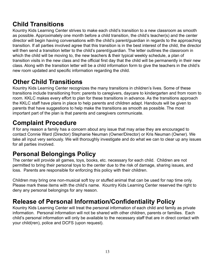### **Child Transitions**

Kountry Kids Learning Center strives to make each child's transition to a new classroom as smooth as possible. Approximately one month before a child transition, the child's teacher(s) and the center director will begin having conversations with the child's parent/guardian in regards to the approaching transition. If all parties involved agree that this transition is in the best interest of the child, the director will then send a transition letter to the child's parent/guardian. The letter outlines the classroom in which the child will be moving to, the new teachers & their typical weekly schedule, a plan of transition visits in the new class and the official first day that the child will be permanently in their new class. Along with the transition letter will be a child information form to give the teachers in the child's new room updated and specific information regarding the child.

### **Other Child Transitions**

Kountry Kids Learning Center recognizes the many transitions in children's lives. Some of these transitions include transitioning from: parents to caregivers, daycare to kindergarten and from room to room. KKLC makes every effort to plan for these transitions in advance. As the transitions approach the KKLC staff have plans in place to help parents and children adapt. Handouts will be given to parents that have suggestions to help make the transitions as smooth as possible. The most important part of the plan is that parents and caregivers communicate.

### **Complaint Procedure**

If for any reason a family has a concern about any issue that may arise they are encouraged to contact Connie Ward (Director) Stephanie Neuman (Owner/Director) or Kris Neuman (Owner). We take all input very seriously. We will thoroughly investigate and do what we can to clear up any issues for all parties involved.

### <span id="page-12-0"></span>**Personal Belongings Policy**

The center will provide all games, toys, books, etc. necessary for each child. Children are not permitted to bring their personal toys to the center due to the risk of damage, sharing issues, and loss. Parents are responsible for enforcing this policy with their children.

Children may bring one non-musical soft toy or stuffed animal that can be used for nap time only. Please mark these items with the child's name. Kountry Kids Learning Center reserved the right to deny any personal belongings for any reason.

### <span id="page-12-1"></span>**Release of Personal Information/Confidentiality Policy**

<span id="page-12-2"></span>Kountry Kids Learning Center will treat the personal information of each child and family as private information. Personal information will not be shared with other children, parents or families. Each child's personal information will only be available to the necessary staff that are in direct contact with your child(ren), police and DCFS (upon request).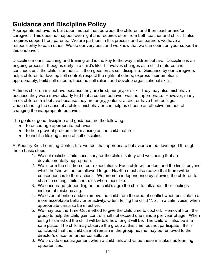### **Guidance and Discipline Policy**

Appropriate behavior is built upon mutual trust between the children and their teacher and/or caregiver. This does not happen overnight and requires effort from both teacher and child. It also requires support from parents. We are partners in this process and as partners we have a responsibility to each other. We do our very best and we know that we can count on your support in this endeavor.

Discipline means teaching and training and is the key to the way children behave. Discipline is an ongoing process. It begins early in a child's life. It involves changes as a child matures and continues until the child is an adult. It then goes on as self discipline. Guidance by our caregivers helps children to develop self control; respect the rights of others; express their emotions appropriately; build self esteem; become self reliant and develop organizational skills.

At times children misbehave because they are tired, hungry, or sick. They may also misbehave because they were never clearly told that a certain behavior was not appropriate. However, many times children misbehave because they are angry, jealous, afraid, or have hurt feelings. Understanding the cause of a child's misbehavior can help us choose an effective method of changing the inappropriate behavior.

The goals of good discipline and guidance are the following:

- To encourage appropriate behavior
- To help prevent problems from arising as the child matures
- To instill a lifelong sense of self discipline

At Kountry Kids Learning Center, Inc. we feel that appropriate behavior can be developed through these basic steps:

- 1. We set realistic limits necessary for the child's safety and well being that are developmentally appropriate.
- 2. We inform the children of our expectations. Each child will understand the limits beyond which he/she will not be allowed to go. He/She must also realize that there will be consequences to their actions. We promote independence by allowing the children to share in setting limits and rules where possible.
- 3. We encourage (depending on the child's age) the child to talk about their feelings instead of misbehaving.
- 4. We divert attention and/or remove the child from the area of conflict when possible to a more acceptable behavior or activity. Often, telling the child "No", in a calm voice, when appropriate can also be effective.
- 5. We may use the Time-Out method to give the child time to cool off. Removal from the group to help the child gain control shall not exceed one minute per year of age. When using this method the child will be told how long it will be. The child will also be in a safe place. The child may observe the group at this time, but not participate. If it is concluded that the child cannot remain in the group he/she may be removed to the director's office for further consultation.
- 6. We provide encouragement when a child fails and value these mistakes as learning opportunities.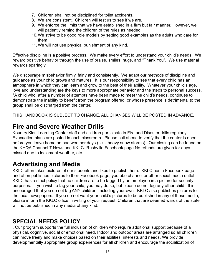- 7. Children shall not be disciplined for toilet accidents.
- 8. We are consistent. Children will test us to see if we are.
- 9. We enforce the limits that we have established in a firm but fair manner. However, we will patiently remind the children of the rules as needed.
- 10.We strive to be good role models by setting good examples as the adults who care for them.
- 11. We will not use physical punishment of any kind.

Effective discipline is a positive process. We make every effort to understand your child's needs. We reward positive behavior through the use of praise, smiles, hugs, and "Thank You". We use material rewards sparingly.

We discourage misbehavior firmly, fairly and consistently. We adapt our methods of discipline and guidance as your child grows and matures. It is our responsibility to see that every child has an atmosphere in which they can learn and grow to the best of their ability. Whatever your child's age, love and understanding are the keys to more appropriate behavior and the steps to personal success. \*A child who, after a number of attempts have been made to meet the child's needs, continues to demonstrate the inability to benefit from the program offered, or whose presence is detrimental to the group shall be discharged from the center.

THIS HANDBOOK IS SUBJECT TO CHANGE. ALL CHANGES WILL BE POSTED IN ADVANCE.

### **Fire and Severe Weather Drills**

Kountry Kids Learning Center staff and children participate in Fire and Disaster drills regularly. Evacuation plans are posted in each classroom. Please call ahead to verify that the center is open before you leave home on bad weather days (i.e. - heavy snow storms). Our closing can be found on the KHQA Channel 7 News and KKLC- Rushville Facebook page.No refunds are given for days missed due to inclement weather, etc.

### **Advertising and Media**

KKLC often takes pictures of our students and likes to publish them. KKLC has a Facebook page and often publishes pictures to their Facebook page; youtube channel or other social media outlet. KKLC has a strict policy that no children are to be tagged by an employee in a picture for security purposes. If you wish to tag your child, you may do so, but please do not tag any other child. It is encouraged that you do not tag ANY children, including your own. KKLC also publishes pictures to the local newspapers. If you do not want your child's pictures to be published in any of these media, please inform the KKLC office in writing of your request. Children that are deemed wards of the state will not be published in any media of any kind.

### **SPECIAL NEEDS POLICY**

. Our program supports the full inclusion of children who require additional support because of a physical, cognitive, social or emotional need. Indoor and outdoor areas are arranged so all children can move freely and make choices based on their abilities, interests and needs. We provide developmentally appropriate group experiences for all children and encourage the socialization of